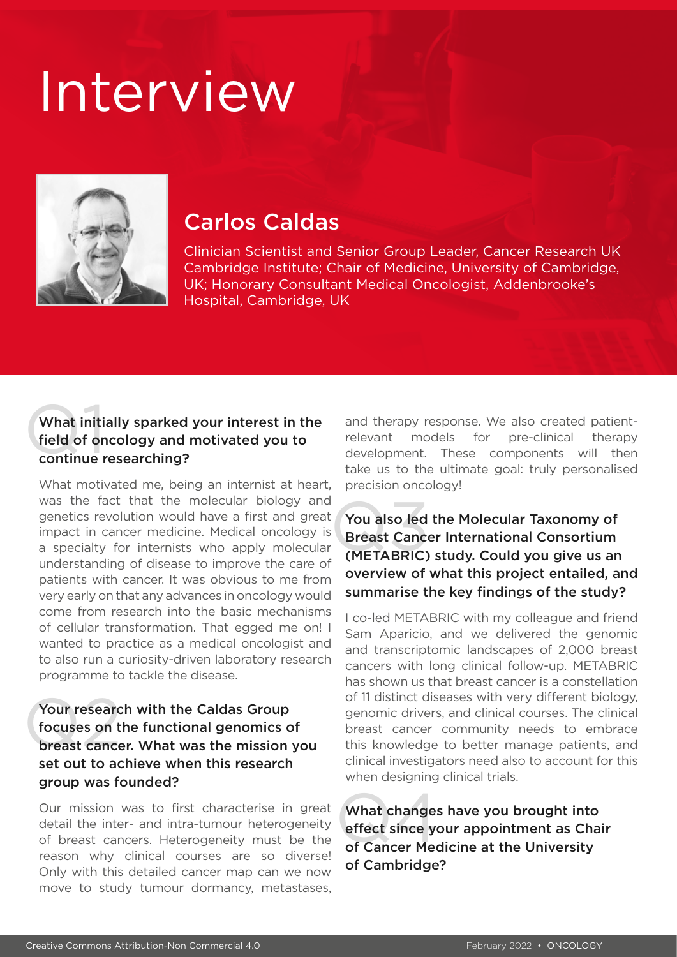# Interview



# Carlos Caldas

Clinician Scientist and Senior Group Leader, Cancer Research UK Cambridge Institute; Chair of Medicine, University of Cambridge, UK; Honorary Consultant Medical Oncologist, Addenbrooke's Hospital, Cambridge, UK

## What initi<br>field of on<br>continue r What initially sparked your interest in the field of oncology and motivated you to continue researching?

What motivated me, being an internist at heart, was the fact that the molecular biology and genetics revolution would have a first and great impact in cancer medicine. Medical oncology is a specialty for internists who apply molecular understanding of disease to improve the care of patients with cancer. It was obvious to me from very early on that any advances in oncology would come from research into the basic mechanisms of cellular transformation. That egged me on! I wanted to practice as a medical oncologist and to also run a curiosity-driven laboratory research programme to tackle the disease.

### Your researd<br>focuses on t<br>breast cance Your research with the Caldas Group focuses on the functional genomics of breast cancer. What was the mission you set out to achieve when this research group was founded?

Our mission was to first characterise in great detail the inter- and intra-tumour heterogeneity of breast cancers. Heterogeneity must be the reason why clinical courses are so diverse! Only with this detailed cancer map can we now move to study tumour dormancy, metastases,

and therapy response. We also created patientrelevant models for pre-clinical therapy development. These components will then take us to the ultimate goal: truly personalised precision oncology!

## You also led the Molecular Taxonomy of<br>Breast Cancer International Consortium<br>(METABRIC) study. Could you give us an You also led the Molecular Taxonomy of Breast Cancer International Consortium overview of what this project entailed, and summarise the key findings of the study?

I co-led METABRIC with my colleague and friend Sam Aparicio, and we delivered the genomic and transcriptomic landscapes of 2,000 breast cancers with long clinical follow-up. METABRIC has shown us that breast cancer is a constellation of 11 distinct diseases with very different biology, genomic drivers, and clinical courses. The clinical breast cancer community needs to embrace this knowledge to better manage patients, and clinical investigators need also to account for this when designing clinical trials.

What changes<br>effect since you<br>of Cancer Meo What changes have you brought into effect since your appointment as Chair of Cancer Medicine at the University of Cambridge?